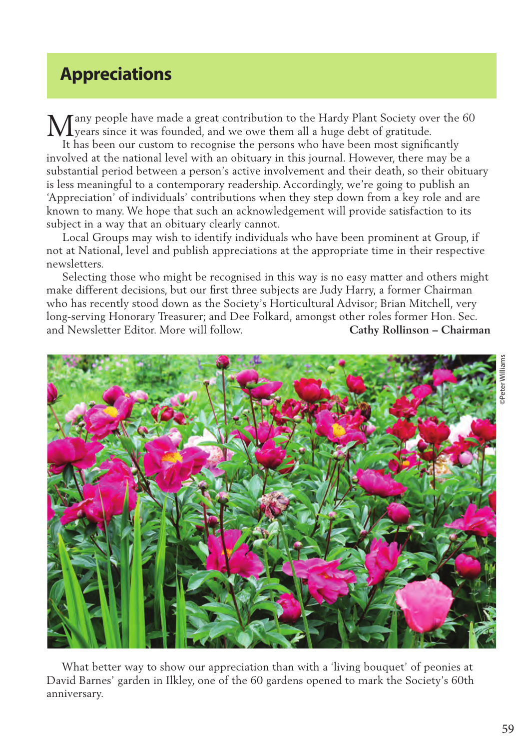## **Appreciations**

any people have made a great contribution to the Hardy Plant Society over the 60 Many people have made a great contribution to the Hardy Plant Society over<br>Ly ears since it was founded, and we owe them all a huge debt of gratitude.

 It has been our custom to recognise the persons who have been most significantly involved at the national level with an obituary in this journal. However, there may be a substantial period between a person's active involvement and their death, so their obituary is less meaningful to a contemporary readership. Accordingly, we're going to publish an 'Appreciation' of individuals' contributions when they step down from a key role and are known to many. We hope that such an acknowledgement will provide satisfaction to its subject in a way that an obituary clearly cannot.

 Local Groups may wish to identify individuals who have been prominent at Group, if not at National, level and publish appreciations at the appropriate time in their respective newsletters.

 Selecting those who might be recognised in this way is no easy matter and others might make different decisions, but our first three subjects are Judy Harry, a former Chairman who has recently stood down as the Society's Horticultural Advisor; Brian Mitchell, very long-serving Honorary Treasurer; and Dee Folkard, amongst other roles former Hon. Sec. and Newsletter Editor. More will follow. **Cathy Rollinson – Chairman**



 What better way to show our appreciation than with a 'living bouquet' of peonies at David Barnes' garden in Ilkley, one of the 60 gardens opened to mark the Society's 60th anniversary.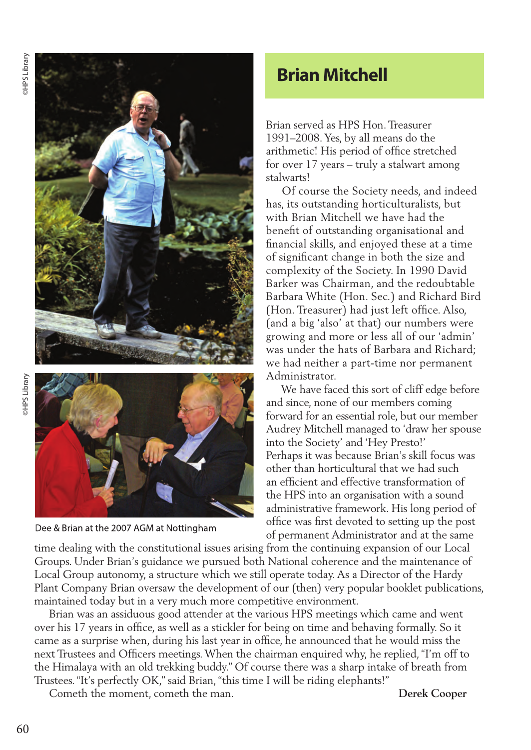

Dee & Brian at the 2007 AGM at Nottingham

## **Brian Mitchell**

 Brian served as HPS Hon. Treasurer 1991–2008. Yes, by all means do the arithmetic! His period of office stretched for over 17 years – truly a stalwart among stalwarts!

 Of course the Society needs, and indeed has, its outstanding horticulturalists, but with Brian Mitchell we have had the benefit of outstanding organisational and financial skills, and enjoyed these at a time of significant change in both the size and complexity of the Society. In 1990 David Barker was Chairman, and the redoubtable Barbara White (Hon. Sec.) and Richard Bird (Hon. Treasurer) had just left office. Also, (and a big 'also' at that) our numbers were growing and more or less all of our 'admin' was under the hats of Barbara and Richard; we had neither a part-time nor permanent Administrator.

 We have faced this sort of cliff edge before and since, none of our members coming forward for an essential role, but our member Audrey Mitchell managed to 'draw her spouse into the Society' and 'Hey Presto!' Perhaps it was because Brian's skill focus was other than horticultural that we had such an efficient and effective transformation of the HPS into an organisation with a sound administrative framework. His long period of office was first devoted to setting up the post of permanent Administrator and at the same

time dealing with the constitutional issues arising from the continuing expansion of our Local Groups. Under Brian's guidance we pursued both National coherence and the maintenance of Local Group autonomy, a structure which we still operate today. As a Director of the Hardy Plant Company Brian oversaw the development of our (then) very popular booklet publications, maintained today but in a very much more competitive environment.

 Brian was an assiduous good attender at the various HPS meetings which came and went over his 17 years in office, as well as a stickler for being on time and behaving formally. So it came as a surprise when, during his last year in office, he announced that he would miss the next Trustees and Officers meetings. When the chairman enquired why, he replied, "I'm off to the Himalaya with an old trekking buddy." Of course there was a sharp intake of breath from Trustees. "It's perfectly OK," said Brian, "this time I will be riding elephants!"

Cometh the moment, cometh the man. **Derek Cooper**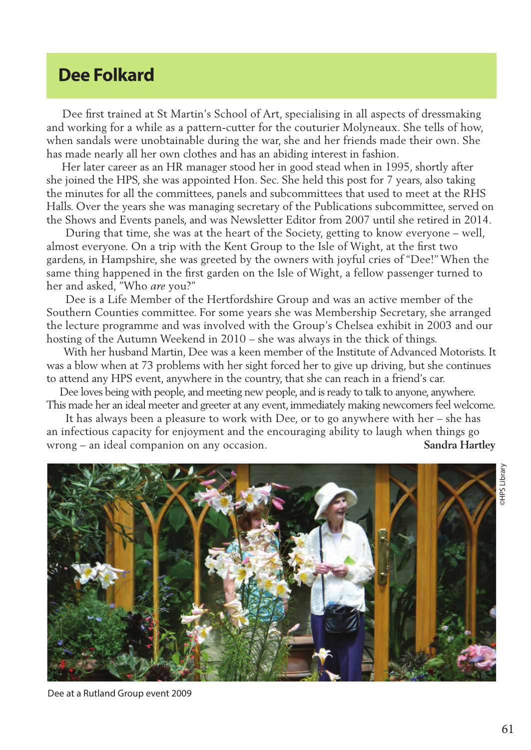## **Dee Folkard**

 Dee first trained at St Martin's School of Art, specialising in all aspects of dressmaking and working for a while as a pattern-cutter for the couturier Molyneaux. She tells of how, when sandals were unobtainable during the war, she and her friends made their own. She has made nearly all her own clothes and has an abiding interest in fashion.

 Her later career as an HR manager stood her in good stead when in 1995, shortly after she joined the HPS, she was appointed Hon. Sec. She held this post for 7 years, also taking the minutes for all the committees, panels and subcommittees that used to meet at the RHS Halls. Over the years she was managing secretary of the Publications subcommittee, served on the Shows and Events panels, and was Newsletter Editor from 2007 until she retired in 2014.

 During that time, she was at the heart of the Society, getting to know everyone – well, almost everyone. On a trip with the Kent Group to the Isle of Wight, at the first two gardens, in Hampshire, she was greeted by the owners with joyful cries of "Dee!" When the same thing happened in the first garden on the Isle of Wight, a fellow passenger turned to her and asked, "Who *are* you?"

 Dee is a Life Member of the Hertfordshire Group and was an active member of the Southern Counties committee. For some years she was Membership Secretary, she arranged the lecture programme and was involved with the Group's Chelsea exhibit in 2003 and our hosting of the Autumn Weekend in 2010 – she was always in the thick of things.

 With her husband Martin, Dee was a keen member of the Institute of Advanced Motorists. It was a blow when at 73 problems with her sight forced her to give up driving, but she continues to attend any HPS event, anywhere in the country, that she can reach in a friend's car.

 Dee loves being with people, and meeting new people, and is ready to talk to anyone, anywhere. This made her an ideal meeter and greeter at any event, immediately making newcomers feel welcome.

 It has always been a pleasure to work with Dee, or to go anywhere with her – she has an infectious capacity for enjoyment and the encouraging ability to laugh when things go wrong – an ideal companion on any occasion. **Sandra Hartley**



Dee at a Rutland Group event 2009